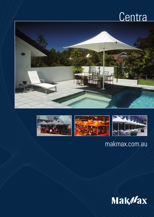# Centra





## makmax.com.au